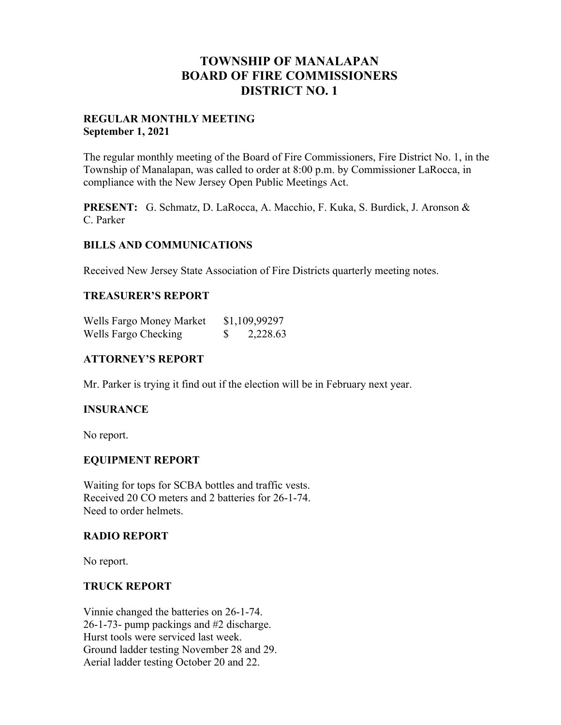# **TOWNSHIP OF MANALAPAN BOARD OF FIRE COMMISSIONERS DISTRICT NO. 1**

## **REGULAR MONTHLY MEETING September 1, 2021**

The regular monthly meeting of the Board of Fire Commissioners, Fire District No. 1, in the Township of Manalapan, was called to order at 8:00 p.m. by Commissioner LaRocca, in compliance with the New Jersey Open Public Meetings Act.

**PRESENT:** G. Schmatz, D. LaRocca, A. Macchio, F. Kuka, S. Burdick, J. Aronson & C. Parker

## **BILLS AND COMMUNICATIONS**

Received New Jersey State Association of Fire Districts quarterly meeting notes.

## **TREASURER'S REPORT**

| Wells Fargo Money Market | \$1,109,99297 |
|--------------------------|---------------|
| Wells Fargo Checking     | 2,228.63      |

# **ATTORNEY'S REPORT**

Mr. Parker is trying it find out if the election will be in February next year.

## **INSURANCE**

No report.

## **EQUIPMENT REPORT**

Waiting for tops for SCBA bottles and traffic vests. Received 20 CO meters and 2 batteries for 26-1-74. Need to order helmets.

# **RADIO REPORT**

No report.

## **TRUCK REPORT**

Vinnie changed the batteries on 26-1-74. 26-1-73- pump packings and #2 discharge. Hurst tools were serviced last week. Ground ladder testing November 28 and 29. Aerial ladder testing October 20 and 22.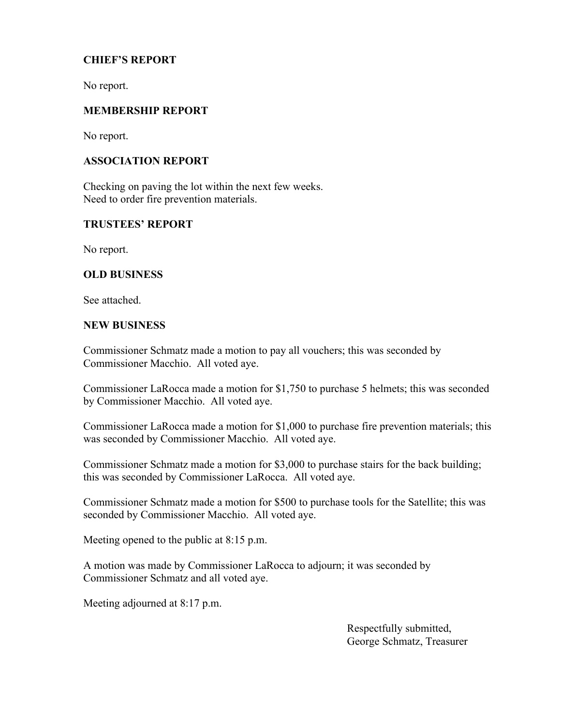# **CHIEF'S REPORT**

No report.

# **MEMBERSHIP REPORT**

No report.

# **ASSOCIATION REPORT**

Checking on paving the lot within the next few weeks. Need to order fire prevention materials.

## **TRUSTEES' REPORT**

No report.

# **OLD BUSINESS**

See attached.

#### **NEW BUSINESS**

Commissioner Schmatz made a motion to pay all vouchers; this was seconded by Commissioner Macchio. All voted aye.

Commissioner LaRocca made a motion for \$1,750 to purchase 5 helmets; this was seconded by Commissioner Macchio. All voted aye.

Commissioner LaRocca made a motion for \$1,000 to purchase fire prevention materials; this was seconded by Commissioner Macchio. All voted aye.

Commissioner Schmatz made a motion for \$3,000 to purchase stairs for the back building; this was seconded by Commissioner LaRocca. All voted aye.

Commissioner Schmatz made a motion for \$500 to purchase tools for the Satellite; this was seconded by Commissioner Macchio. All voted aye.

Meeting opened to the public at 8:15 p.m.

A motion was made by Commissioner LaRocca to adjourn; it was seconded by Commissioner Schmatz and all voted aye.

Meeting adjourned at 8:17 p.m.

 Respectfully submitted, George Schmatz, Treasurer